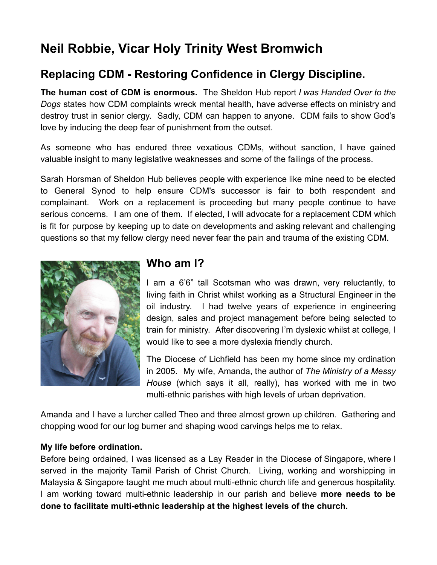# **Neil Robbie, Vicar Holy Trinity West Bromwich**

## **Replacing CDM - Restoring Confidence in Clergy Discipline.**

**The human cost of CDM is enormous.** The Sheldon Hub report *I was Handed Over to the Dogs* states how CDM complaints wreck mental health, have adverse effects on ministry and destroy trust in senior clergy. Sadly, CDM can happen to anyone. CDM fails to show God's love by inducing the deep fear of punishment from the outset.

As someone who has endured three vexatious CDMs, without sanction, I have gained valuable insight to many legislative weaknesses and some of the failings of the process.

Sarah Horsman of Sheldon Hub believes people with experience like mine need to be elected to General Synod to help ensure CDM's successor is fair to both respondent and complainant. Work on a replacement is proceeding but many people continue to have serious concerns. I am one of them. If elected, I will advocate for a replacement CDM which is fit for purpose by keeping up to date on developments and asking relevant and challenging questions so that my fellow clergy need never fear the pain and trauma of the existing CDM.



### **Who am I?**

I am a 6'6" tall Scotsman who was drawn, very reluctantly, to living faith in Christ whilst working as a Structural Engineer in the oil industry. I had twelve years of experience in engineering design, sales and project management before being selected to train for ministry. After discovering I'm dyslexic whilst at college, I would like to see a more dyslexia friendly church.

The Diocese of Lichfield has been my home since my ordination in 2005. My wife, Amanda, the author of *The Ministry of a Messy House* (which says it all, really), has worked with me in two multi-ethnic parishes with high levels of urban deprivation.

Amanda and I have a lurcher called Theo and three almost grown up children. Gathering and chopping wood for our log burner and shaping wood carvings helps me to relax.

#### **My life before ordination.**

Before being ordained, I was licensed as a Lay Reader in the Diocese of Singapore, where I served in the majority Tamil Parish of Christ Church. Living, working and worshipping in Malaysia & Singapore taught me much about multi-ethnic church life and generous hospitality. I am working toward multi-ethnic leadership in our parish and believe **more needs to be done to facilitate multi-ethnic leadership at the highest levels of the church.**